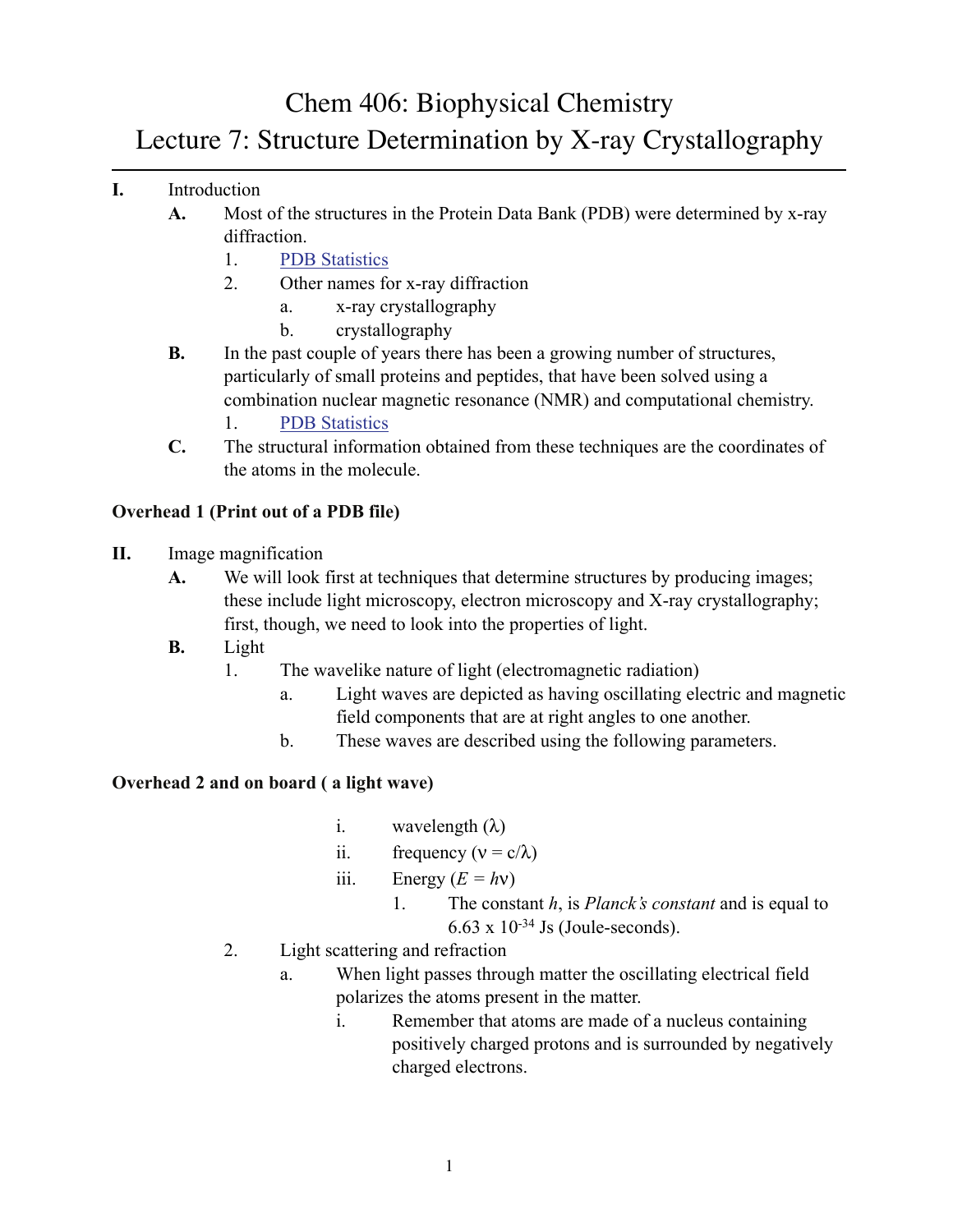Chem 406: Biophysical Chemistry

# Lecture 7: Structure Determination by X-ray Crystallography

- **I.** Introduction
	- **A.** Most of the structures in the Protein Data Bank (PDB) were determined by x-ray diffraction.
		- 1. PDB Statistics
		- 2. Other names for x-ray diffraction
			- a. x-ray crystallography
			- b. crystallography
	- **B.** In the past couple of years there has been a growing number of structures, particularly of small proteins and peptides, that have been solved using a combination nuclear magnetic resonance (NMR) and computational chemistry.
		- 1. PDB Statistics
	- **C.** The structural information obtained from these techniques are the coordinates of the atoms in the molecule.

#### **Overhead 1 (Print out of a PDB file)**

- **II.** Image magnification
	- **A.** We will look first at techniques that determine structures by producing images; these include light microscopy, electron microscopy and X-ray crystallography; first, though, we need to look into the properties of light.
	- **B.** Light
		- 1. The wavelike nature of light (electromagnetic radiation)
			- a. Light waves are depicted as having oscillating electric and magnetic field components that are at right angles to one another.
			- b. These waves are described using the following parameters.

#### **Overhead 2 and on board ( a light wave)**

- i. wavelength  $(\lambda)$
- ii. frequency ( $v = c/\lambda$ )
- iii. Energy  $(E = hv)$ 
	- 1. The constant *h*, is *Planck's constant* and is equal to  $6.63 \times 10^{-34}$  Js (Joule-seconds).
- 2. Light scattering and refraction
	- a. When light passes through matter the oscillating electrical field polarizes the atoms present in the matter.
		- i. Remember that atoms are made of a nucleus containing positively charged protons and is surrounded by negatively charged electrons.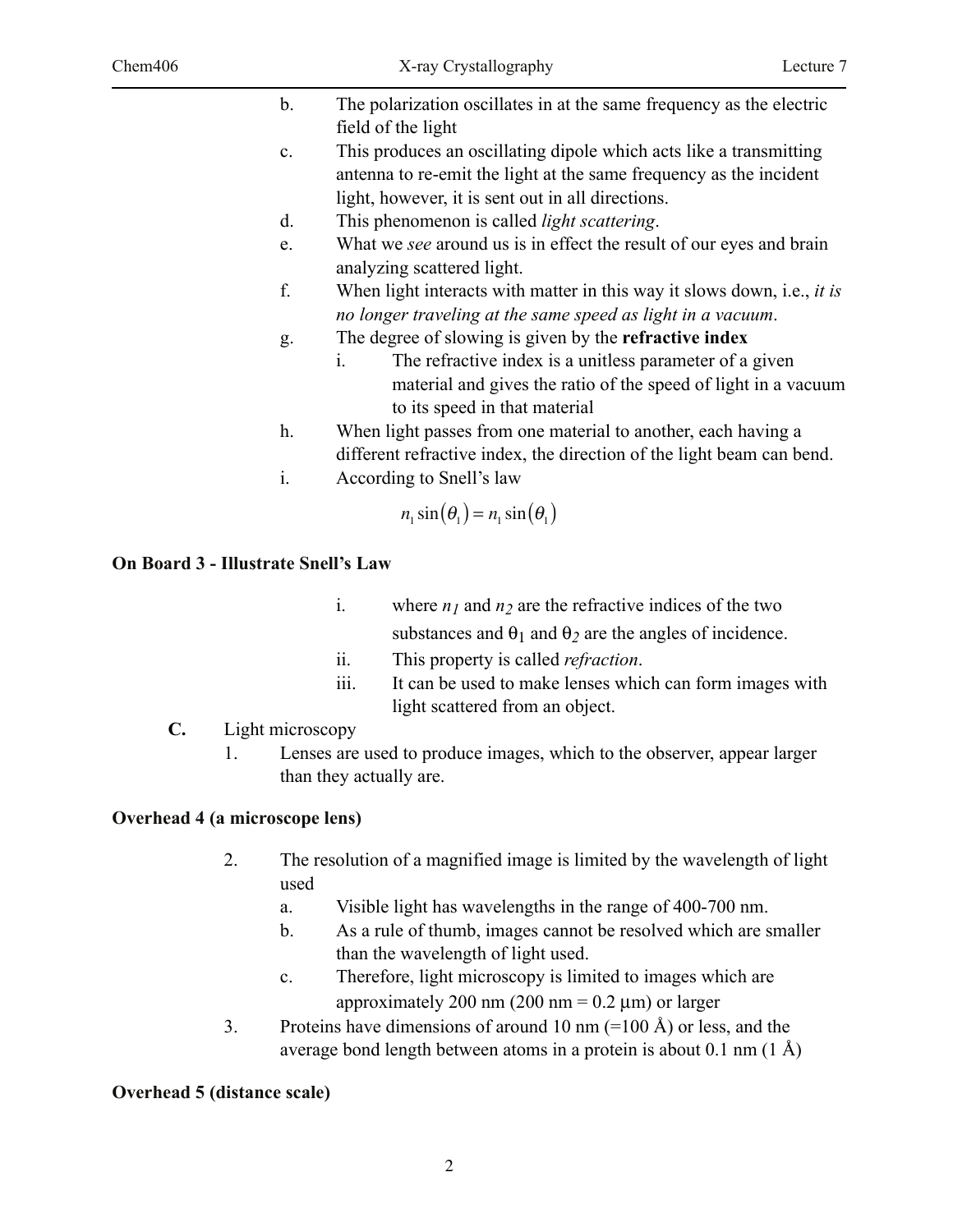| $b_{-}$     | The polarization oscillates in at the same frequency as the electric |
|-------------|----------------------------------------------------------------------|
|             | field of the light                                                   |
| $c_{\cdot}$ | This produces an oscillating dipole which acts like a transmitting   |
|             | antenna to re-emit the light at the same frequency as the incident   |

- light, however, it is sent out in all directions.
- d. This phenomenon is called *light scattering*.
- e. What we *see* around us is in effect the result of our eyes and brain analyzing scattered light.
- f. When light interacts with matter in this way it slows down, i.e., *it is no longer traveling at the same speed as light in a vacuum*.
- g. The degree of slowing is given by the **refractive index**
	- i. The refractive index is a unitless parameter of a given material and gives the ratio of the speed of light in a vacuum to its speed in that material
- h. When light passes from one material to another, each having a different refractive index, the direction of the light beam can bend.
- i. According to Snell's law

$$
n_1\sin(\theta_1)=n_1\sin(\theta_1)
$$

## **On Board 3 - Illustrate Snell's Law**

- i. where  $n_1$  and  $n_2$  are the refractive indices of the two substances and  $\theta_1$  and  $\theta_2$  are the angles of incidence.
- ii. This property is called *refraction*.
- iii. It can be used to make lenses which can form images with light scattered from an object.

# **C.** Light microscopy

1. Lenses are used to produce images, which to the observer, appear larger than they actually are.

## **Overhead 4 (a microscope lens)**

- 2. The resolution of a magnified image is limited by the wavelength of light used
	- a. Visible light has wavelengths in the range of 400-700 nm.
	- b. As a rule of thumb, images cannot be resolved which are smaller than the wavelength of light used.
	- c. Therefore, light microscopy is limited to images which are approximately 200 nm  $(200 \text{ nm} = 0.2 \text{ µm})$  or larger
- 3. Proteins have dimensions of around 10 nm  $(=100 \text{ Å})$  or less, and the average bond length between atoms in a protein is about  $0.1 \text{ nm } (1 \text{ Å})$

# **Overhead 5 (distance scale)**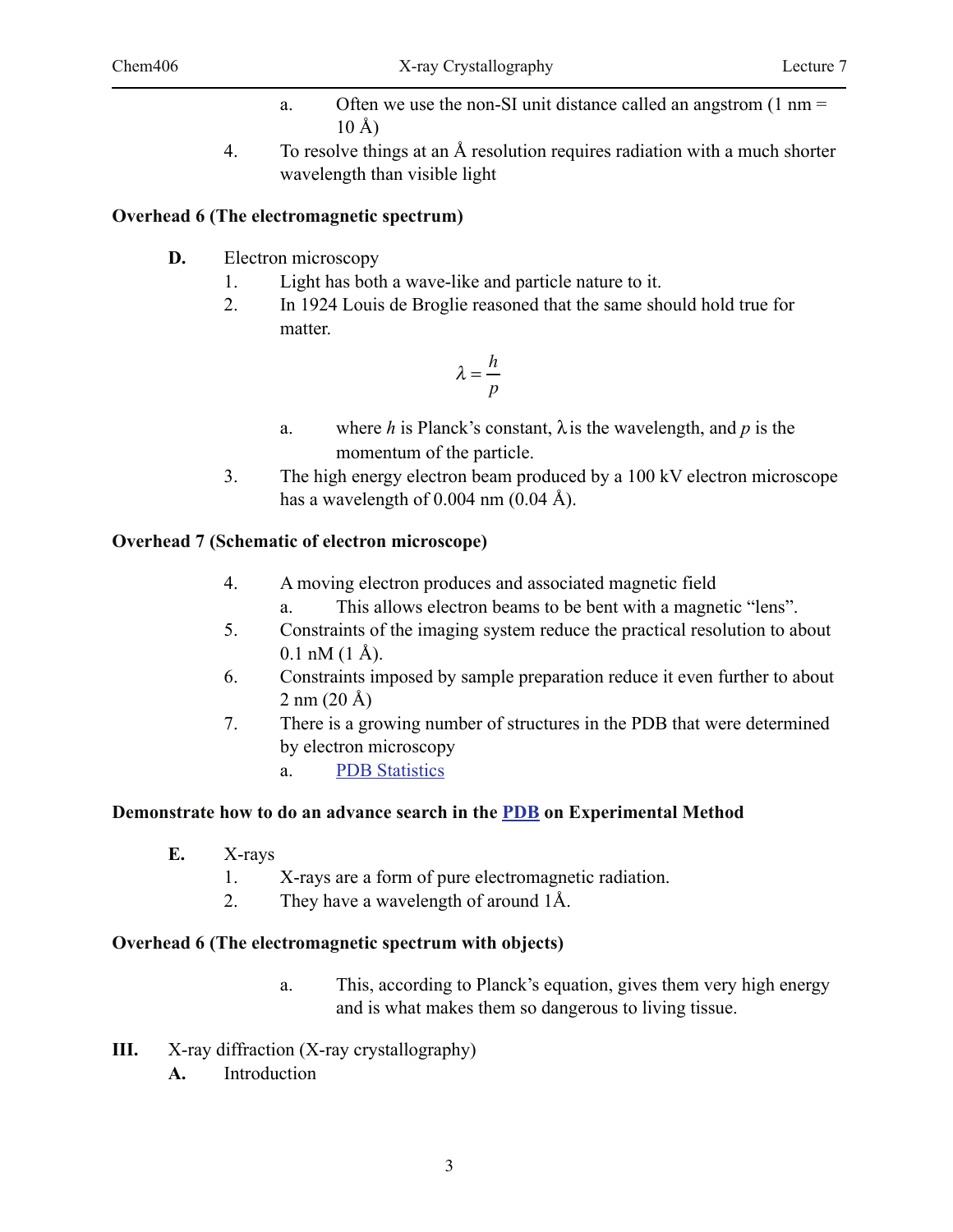- a. Often we use the non-SI unit distance called an angstrom  $(1 \text{ nm} =$ 10 Å)
- 4. To resolve things at an Å resolution requires radiation with a much shorter wavelength than visible light

## **Overhead 6 (The electromagnetic spectrum)**

- **D.** Electron microscopy
	- 1. Light has both a wave-like and particle nature to it.
	- 2. In 1924 Louis de Broglie reasoned that the same should hold true for matter.

$$
\lambda = \frac{h}{p}
$$

- a. where *h* is Planck's constant,  $\lambda$  is the wavelength, and *p* is the momentum of the particle.
- 3. The high energy electron beam produced by a 100 kV electron microscope has a wavelength of 0.004 nm  $(0.04 \text{ Å})$ .

## **Overhead 7 (Schematic of electron microscope)**

- 4. A moving electron produces and associated magnetic field
	- a. This allows electron beams to be bent with a magnetic "lens".
- 5. Constraints of the imaging system reduce the practical resolution to about  $0.1$  nM  $(1 \text{ Å})$ .
- 6. Constraints imposed by sample preparation reduce it even further to about  $2 \text{ nm} (20 \text{ Å})$
- 7. There is a growing number of structures in the PDB that were determined by electron microscopy
	- a. PDB Statistics

## **Demonstrate how to do an advance search in the PDB on Experimental Method**

- **E.** X-rays
	- 1. X-rays are a form of pure electromagnetic radiation.
	- 2. They have a wavelength of around 1Å.

## **Overhead 6 (The electromagnetic spectrum with objects)**

- a. This, according to Planck's equation, gives them very high energy and is what makes them so dangerous to living tissue.
- **III.** X-ray diffraction (X-ray crystallography)
	- **A.** Introduction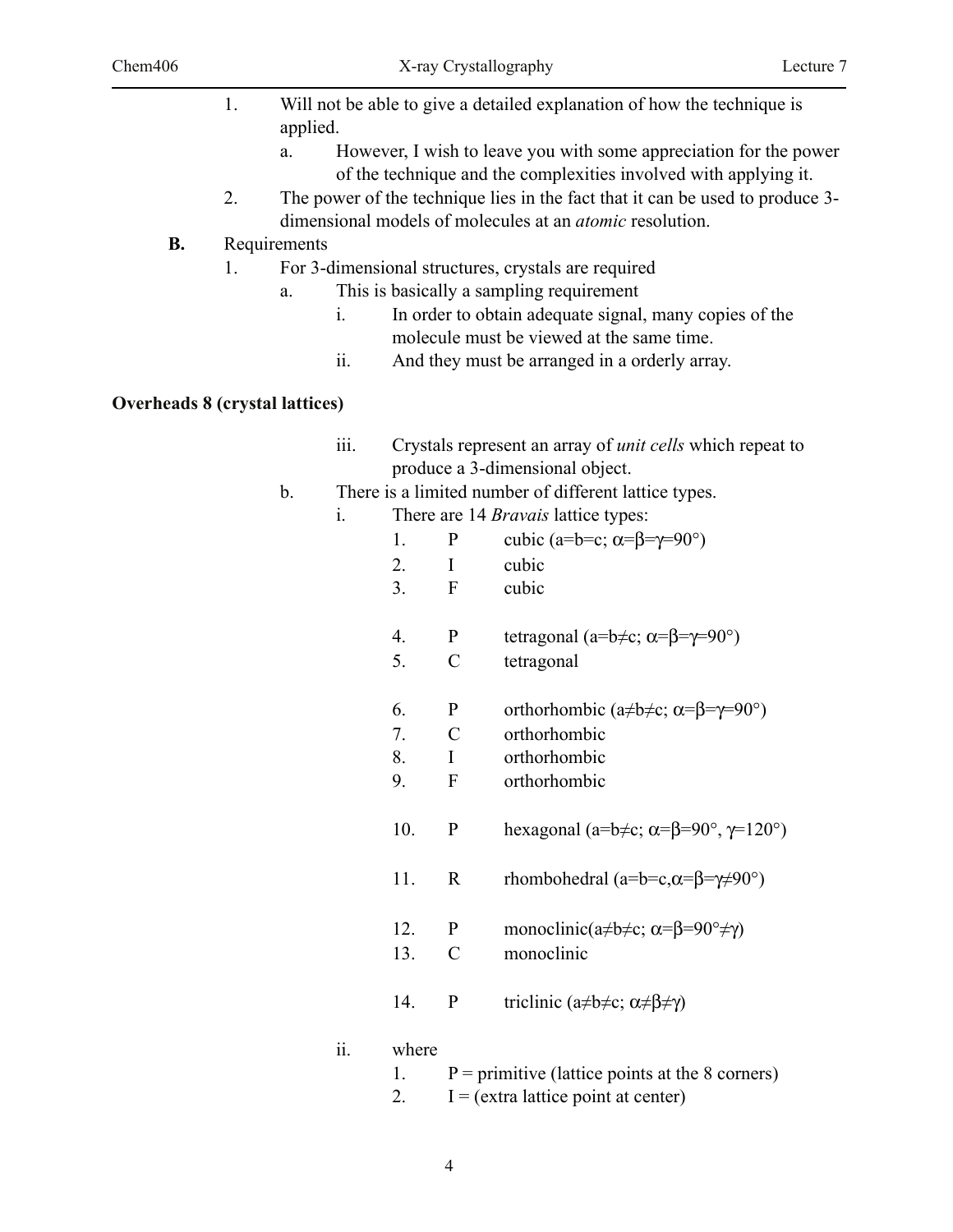- 1. Will not be able to give a detailed explanation of how the technique is applied.
	- a. However, I wish to leave you with some appreciation for the power of the technique and the complexities involved with applying it.
- 2. The power of the technique lies in the fact that it can be used to produce 3 dimensional models of molecules at an *atomic* resolution.

## **B.** Requirements

- 1. For 3-dimensional structures, crystals are required
	- a. This is basically a sampling requirement
		- i. In order to obtain adequate signal, many copies of the molecule must be viewed at the same time.
		- ii. And they must be arranged in a orderly array.

## **Overheads 8 (crystal lattices)**

- iii. Crystals represent an array of *unit cells* which repeat to produce a 3-dimensional object.
- b. There is a limited number of different lattice types.
	- i. There are 14 *Bravais* lattice types:
		- 1. P cubic (a=b=c;  $\alpha = \beta = \gamma = 90^{\circ}$ )
		- 2. I cubic
		- 3. F cubic
		- 4. P tetragonal (a=b $\neq$ c;  $\alpha = \beta = \gamma = 90^{\circ}$ )
		- 5. C tetragonal
		- 6. P orthorhombic  $(a\neq b\neq c; \alpha = \beta = \gamma = 90^{\circ})$
		- 7. C orthorhombic
		- 8. I orthorhombic
		- 9. F orthorhombic
		- 10. P hexagonal (a=b $\neq$ c;  $\alpha$ = $\beta$ = $90^\circ$ ,  $\gamma$ =120°)
		- 11. R rhombohedral  $(a=b=c, \alpha=\beta=\gamma\neq 90^{\circ})$
		- 12. P monoclinic( $a \neq b \neq c$ ;  $\alpha = \beta = 90^\circ \neq \gamma$ )
		- 13. C monoclinic
		- 14. P triclinic ( $a \neq b \neq c$ ;  $\alpha \neq \beta \neq \gamma$ )

## ii. where

- 1.  $P =$  primitive (lattice points at the 8 corners)
- 2.  $I = (extra lattice point at center)$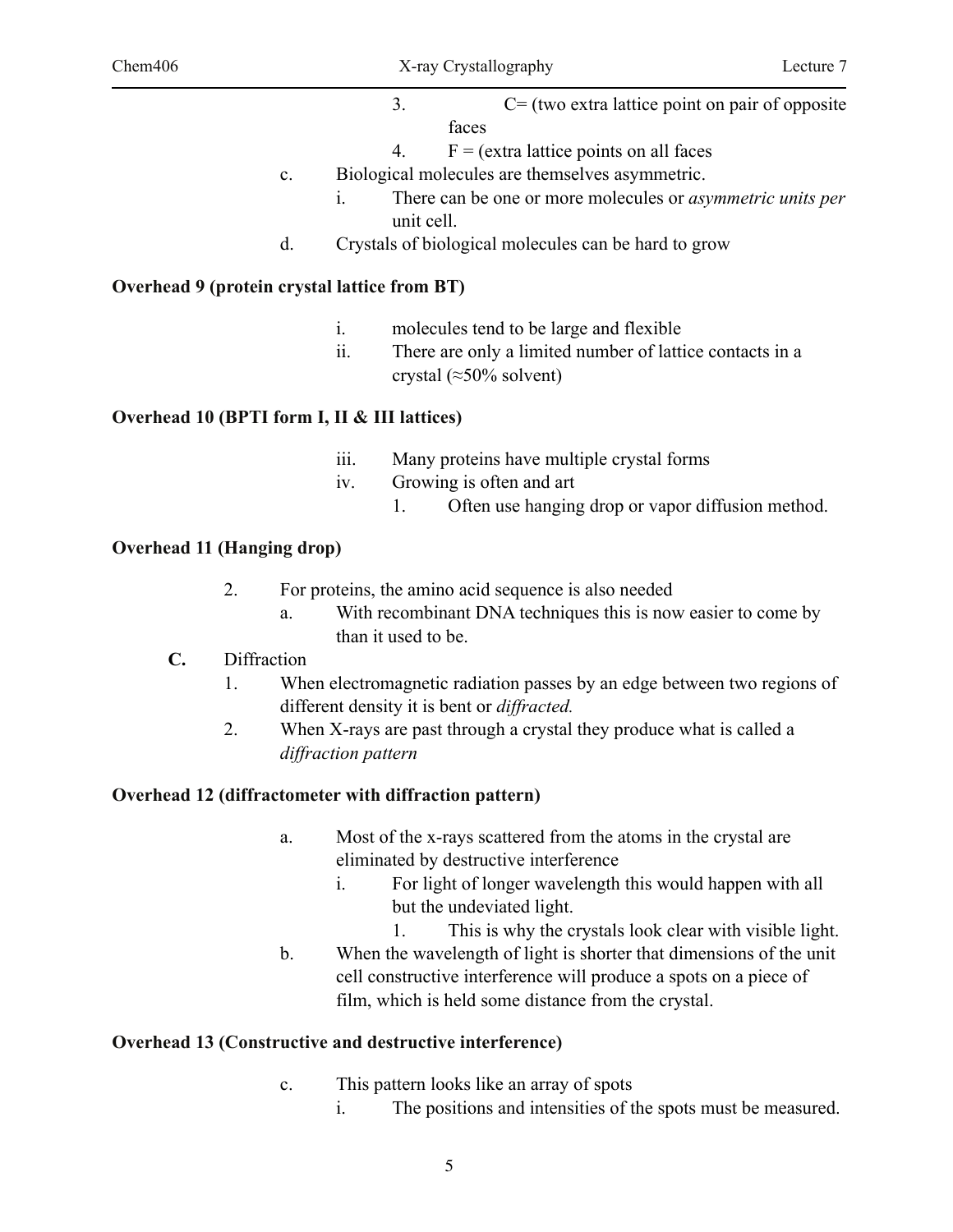- 3. C= (two extra lattice point on pair of opposite faces
- 4.  $F = (extra lattice points on all faces)$
- c. Biological molecules are themselves asymmetric.
	- i. There can be one or more molecules or *asymmetric units per*  unit cell.
- d. Crystals of biological molecules can be hard to grow

#### **Overhead 9 (protein crystal lattice from BT)**

- i. molecules tend to be large and flexible
- ii. There are only a limited number of lattice contacts in a crystal ( $\approx$ 50% solvent)

#### **Overhead 10 (BPTI form I, II & III lattices)**

- iii. Many proteins have multiple crystal forms
- iv. Growing is often and art
	- 1. Often use hanging drop or vapor diffusion method.

#### **Overhead 11 (Hanging drop)**

- 2. For proteins, the amino acid sequence is also needed
	- a. With recombinant DNA techniques this is now easier to come by than it used to be.
- **C.** Diffraction
	- 1. When electromagnetic radiation passes by an edge between two regions of different density it is bent or *diffracted.*
	- 2. When X-rays are past through a crystal they produce what is called a *diffraction pattern*

#### **Overhead 12 (diffractometer with diffraction pattern)**

- a. Most of the x-rays scattered from the atoms in the crystal are eliminated by destructive interference
	- i. For light of longer wavelength this would happen with all but the undeviated light.
		- 1. This is why the crystals look clear with visible light.
- b. When the wavelength of light is shorter that dimensions of the unit cell constructive interference will produce a spots on a piece of film, which is held some distance from the crystal.

#### **Overhead 13 (Constructive and destructive interference)**

- c. This pattern looks like an array of spots
	- i. The positions and intensities of the spots must be measured.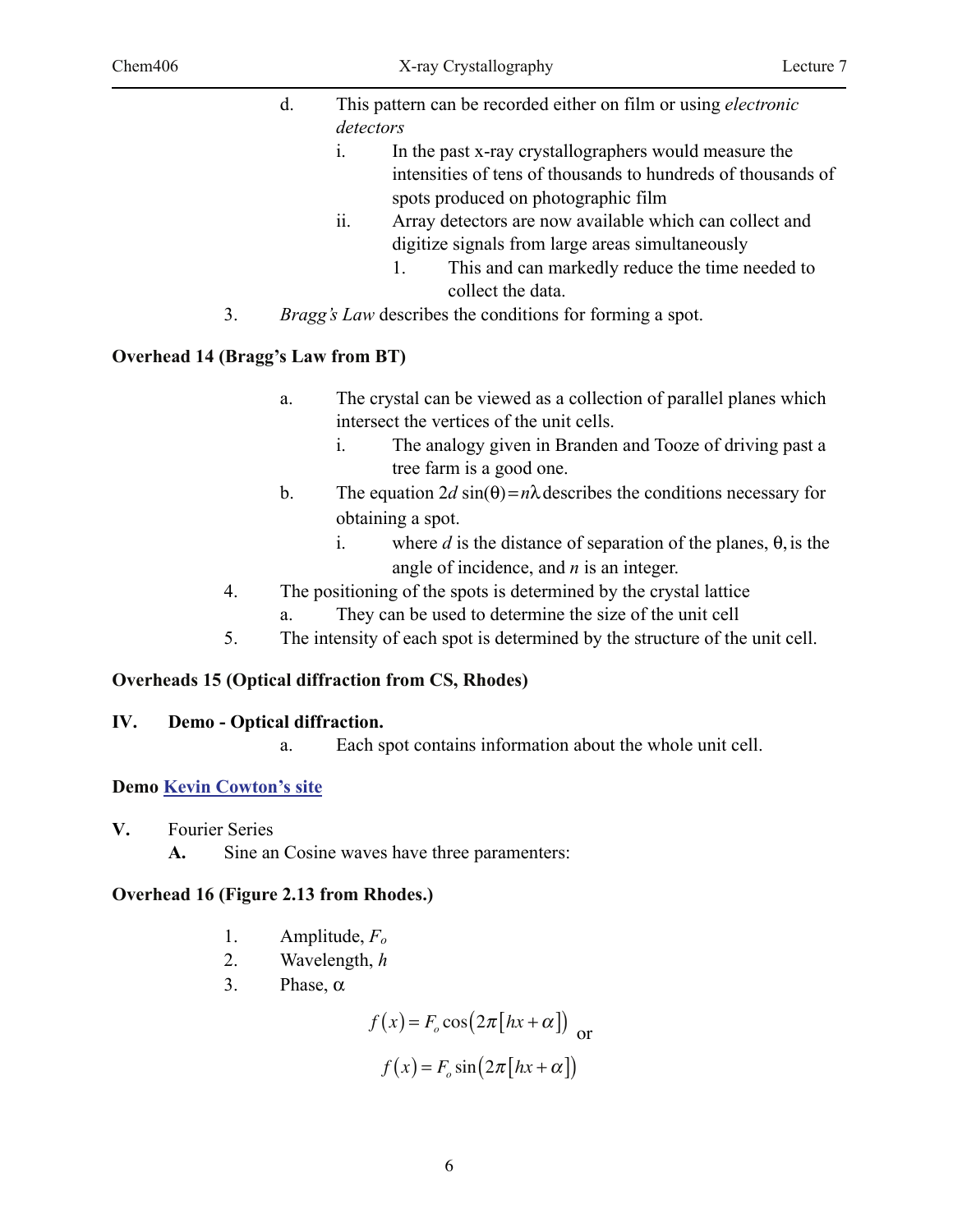|    | $d_{\cdot}$    | This pattern can be recorded either on film or using <i>electronic</i> |  |  |
|----|----------------|------------------------------------------------------------------------|--|--|
|    | detectors      |                                                                        |  |  |
|    | $\mathbf{1}$ . | In the past x-ray crystallographers would measure the                  |  |  |
|    |                | intensities of tens of thousands to hundreds of thousands of           |  |  |
|    |                | spots produced on photographic film                                    |  |  |
|    | ii.            | Array detectors are now available which can collect and                |  |  |
|    |                | digitize signals from large areas simultaneously                       |  |  |
|    |                | This and can markedly reduce the time needed to<br>$1_{-}$             |  |  |
|    |                | collect the data.                                                      |  |  |
| 3. |                | <i>Bragg's Law</i> describes the conditions for forming a spot.        |  |  |

#### **Overhead 14 (Bragg's Law from BT)**

- a. The crystal can be viewed as a collection of parallel planes which intersect the vertices of the unit cells.
	- i. The analogy given in Branden and Tooze of driving past a tree farm is a good one.
- b. The equation  $2d \sin(\theta) = n\lambda$  describes the conditions necessary for obtaining a spot.
	- i. where *d* is the distance of separation of the planes,  $\theta$ , is the angle of incidence, and *n* is an integer.
- 4. The positioning of the spots is determined by the crystal lattice
	- a. They can be used to determine the size of the unit cell
- 5. The intensity of each spot is determined by the structure of the unit cell.

#### **Overheads 15 (Optical diffraction from CS, Rhodes)**

#### **IV. Demo - Optical diffraction.**

a. Each spot contains information about the whole unit cell.

## **Demo Kevin Cowton's site**

- **V.** Fourier Series
	- **A.** Sine an Cosine waves have three paramenters:

#### **Overhead 16 (Figure 2.13 from Rhodes.)**

- 1. Amplitude, *Fo*
- 2. Wavelength, *h*
- 3. Phase,  $\alpha$

$$
f(x) = F_o \cos(2\pi [hx + \alpha])
$$
  

$$
f(x) = F_o \sin(2\pi [hx + \alpha])
$$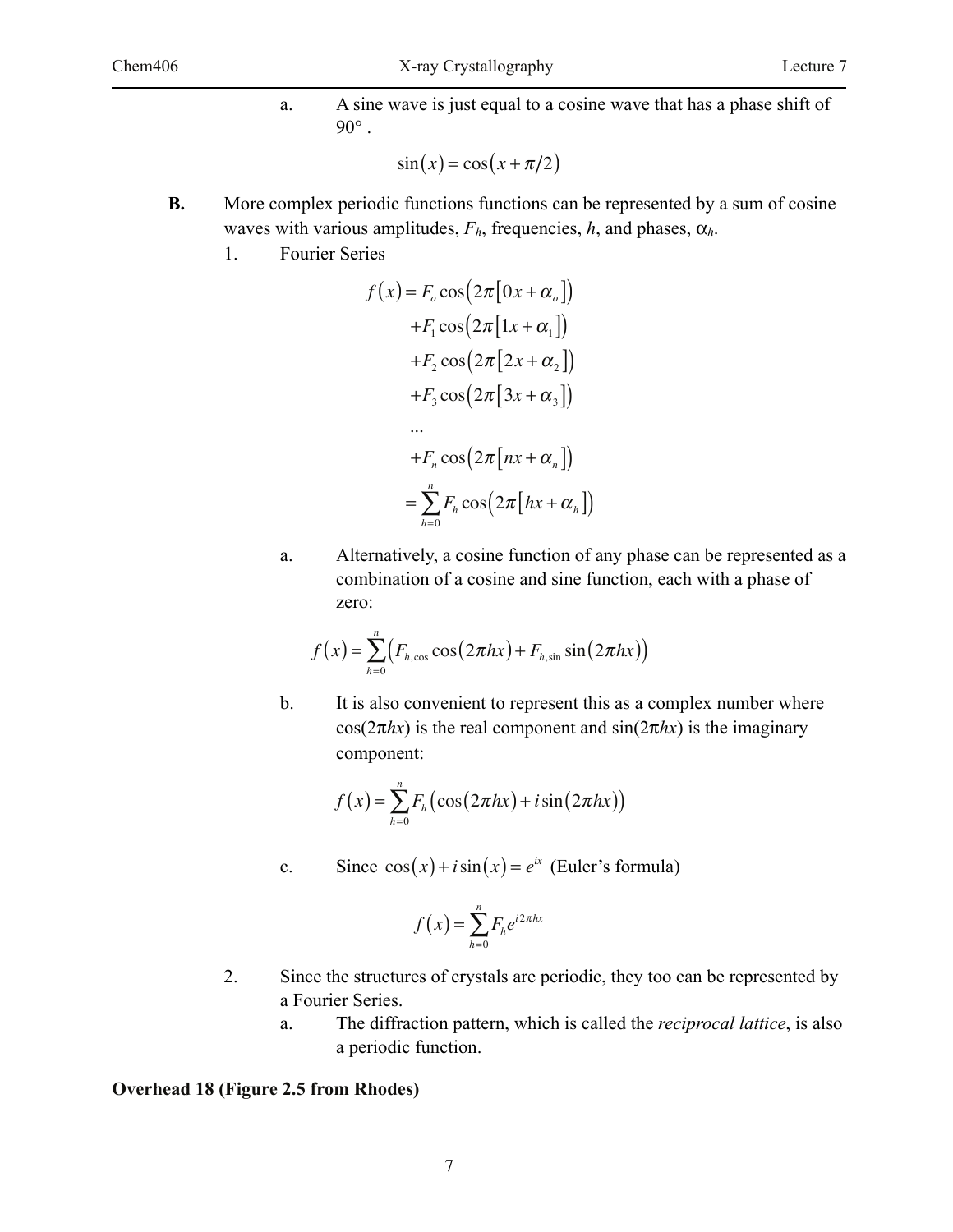a. A sine wave is just equal to a cosine wave that has a phase shift of  $90^\circ$ .

$$
\sin(x) = \cos(x + \pi/2)
$$

- **B.** More complex periodic functions functions can be represented by a sum of cosine waves with various amplitudes,  $F_h$ , frequencies, h, and phases,  $\alpha_h$ .
	- 1. Fourier Series

$$
f(x) = F_o \cos(2\pi [\alpha x + \alpha_o])
$$
  
+
$$
F_1 \cos(2\pi [1x + \alpha_1])
$$
  
+
$$
F_2 \cos(2\pi [2x + \alpha_2])
$$
  
+
$$
F_3 \cos(2\pi [3x + \alpha_3])
$$
  
...  
+
$$
F_n \cos(2\pi [nx + \alpha_n])
$$
  
=
$$
\sum_{h=0}^n F_h \cos(2\pi [hx + \alpha_h])
$$

a. Alternatively, a cosine function of any phase can be represented as a combination of a cosine and sine function, each with a phase of zero:

$$
f(x) = \sum_{h=0}^{n} \left( F_{h,\cos} \cos(2\pi hx) + F_{h,\sin} \sin(2\pi hx) \right)
$$

b. It is also convenient to represent this as a complex number where  $cos(2\pi hx)$  is the real component and  $sin(2\pi hx)$  is the imaginary component:

$$
f(x) = \sum_{h=0}^{n} F_h(\cos(2\pi hx) + i\sin(2\pi hx))
$$

c. Since  $cos(x) + i sin(x) = e^{ix}$  (Euler's formula)

$$
f(x) = \sum_{h=0}^{n} F_h e^{i2\pi hx}
$$

- 2. Since the structures of crystals are periodic, they too can be represented by a Fourier Series.
	- a. The diffraction pattern, which is called the *reciprocal lattice*, is also a periodic function.

#### **Overhead 18 (Figure 2.5 from Rhodes)**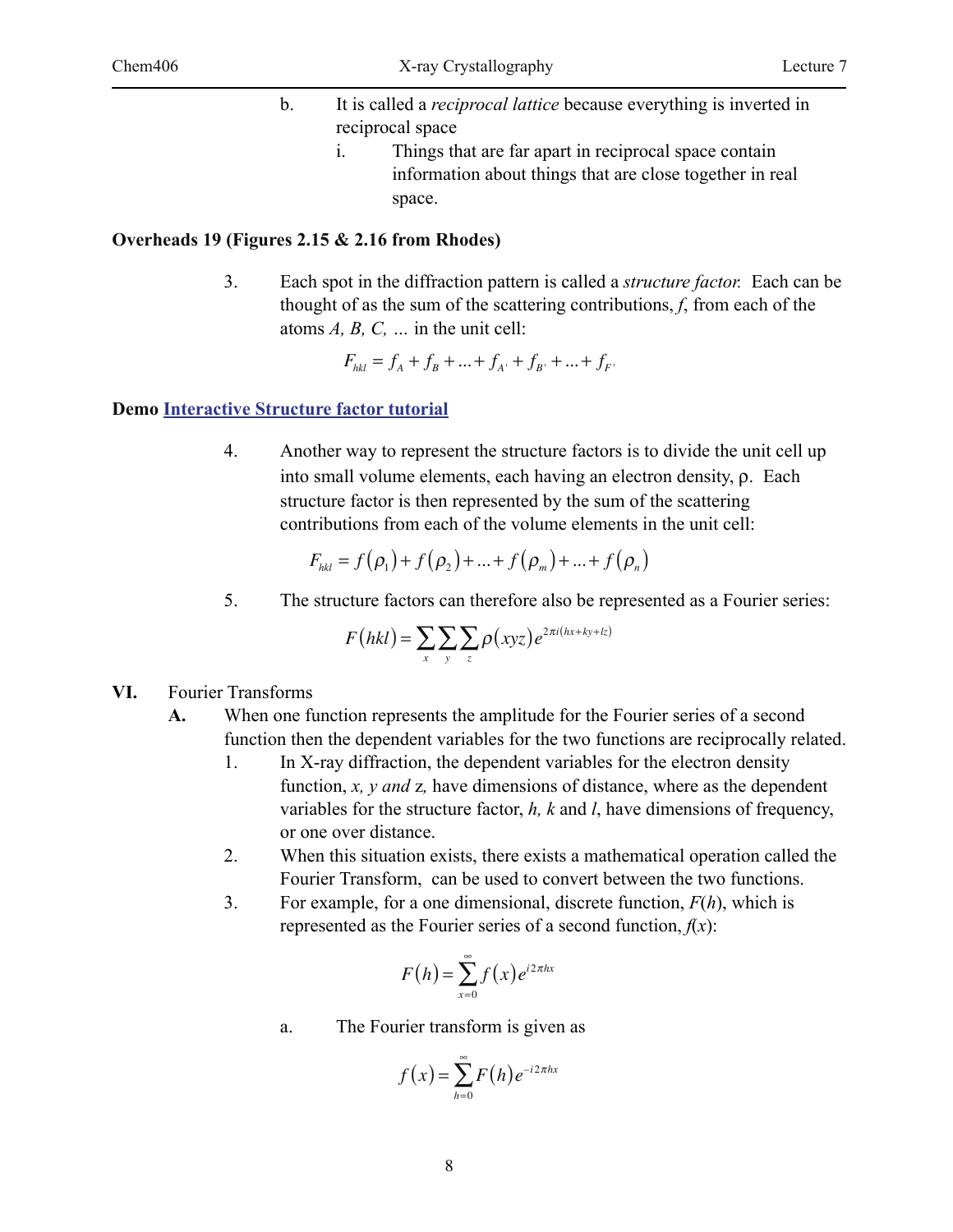- b. It is called a *reciprocal lattice* because everything is inverted in reciprocal space i. Things that are far apart in reciprocal space contain
	- information about things that are close together in real space.

#### **Overheads 19 (Figures 2.15 & 2.16 from Rhodes)**

3. Each spot in the diffraction pattern is called a *structure factor.* Each can be thought of as the sum of the scattering contributions, *f*, from each of the atoms *A, B, C, …* in the unit cell:

$$
F_{hkl} = f_A + f_B + \dots + f_{A'} + f_{B'} + \dots + f_{F'}
$$

#### **Demo Interactive Structure factor tutorial**

4. Another way to represent the structure factors is to divide the unit cell up into small volume elements, each having an electron density,  $\rho$ . Each structure factor is then represented by the sum of the scattering contributions from each of the volume elements in the unit cell:

$$
F_{hkl} = f(\rho_1) + f(\rho_2) + ... + f(\rho_m) + ... + f(\rho_n)
$$

5. The structure factors can therefore also be represented as a Fourier series:

$$
F(hkl) = \sum_{x} \sum_{y} \sum_{z} \rho(xyz) e^{2\pi i(hx + ky + lz)}
$$

- **VI.** Fourier Transforms
	- **A.** When one function represents the amplitude for the Fourier series of a second function then the dependent variables for the two functions are reciprocally related.
		- 1. In X-ray diffraction, the dependent variables for the electron density function, *x, y and* z*,* have dimensions of distance, where as the dependent variables for the structure factor, *h, k* and *l*, have dimensions of frequency, or one over distance.
		- 2. When this situation exists, there exists a mathematical operation called the Fourier Transform, can be used to convert between the two functions.
		- 3. For example, for a one dimensional, discrete function, *F*(*h*), which is represented as the Fourier series of a second function,  $f(x)$ :

$$
F(h) = \sum_{x=0}^{\infty} f(x) e^{i2\pi hx}
$$

a. The Fourier transform is given as

$$
f(x) = \sum_{h=0}^{\infty} F(h) e^{-i2\pi hx}
$$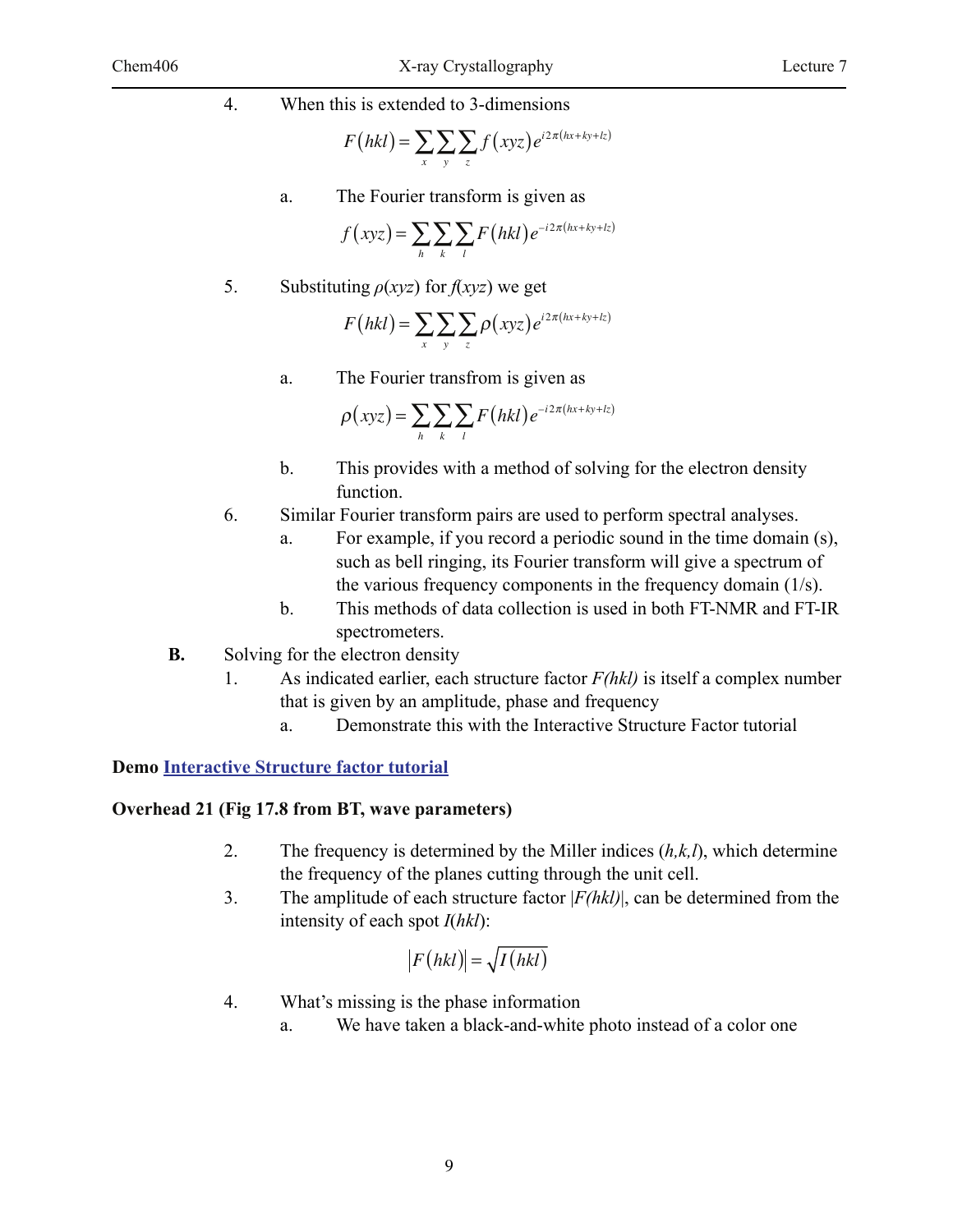4. When this is extended to 3-dimensions

$$
F(hkl) = \sum_{x} \sum_{y} \sum_{z} f(xyz) e^{i2\pi(hx + ky + kz)}
$$

a. The Fourier transform is given as

$$
f(xyz) = \sum_{h} \sum_{k} \sum_{l} F(hkl) e^{-i2\pi(hx + ky + lz)}
$$

5. Substituting  $\rho(xyz)$  for  $f(xyz)$  we get

$$
F(hkl) = \sum_{x} \sum_{y} \sum_{z} \rho(xyz) e^{i2\pi(hx + ky + lx)}
$$

a. The Fourier transfrom is given as

$$
\rho(xyz) = \sum_{h} \sum_{k} \sum_{l} F(hkl) e^{-i2\pi(hx + ky + kz)}
$$

- b. This provides with a method of solving for the electron density function.
- 6. Similar Fourier transform pairs are used to perform spectral analyses.
	- a. For example, if you record a periodic sound in the time domain (s), such as bell ringing, its Fourier transform will give a spectrum of the various frequency components in the frequency domain (1/s).
	- b. This methods of data collection is used in both FT-NMR and FT-IR spectrometers.
- **B.** Solving for the electron density
	- 1. As indicated earlier, each structure factor *F(hkl)* is itself a complex number that is given by an amplitude, phase and frequency
		- a. Demonstrate this with the Interactive Structure Factor tutorial

#### **Demo Interactive Structure factor tutorial**

#### **Overhead 21 (Fig 17.8 from BT, wave parameters)**

- 2. The frequency is determined by the Miller indices (*h,k,l*), which determine the frequency of the planes cutting through the unit cell.
- 3. The amplitude of each structure factor |*F(hkl)*|, can be determined from the intensity of each spot *I*(*hkl*):

$$
|F(hkl)| = \sqrt{I(hkl)}
$$

- 4. What's missing is the phase information
	- a. We have taken a black-and-white photo instead of a color one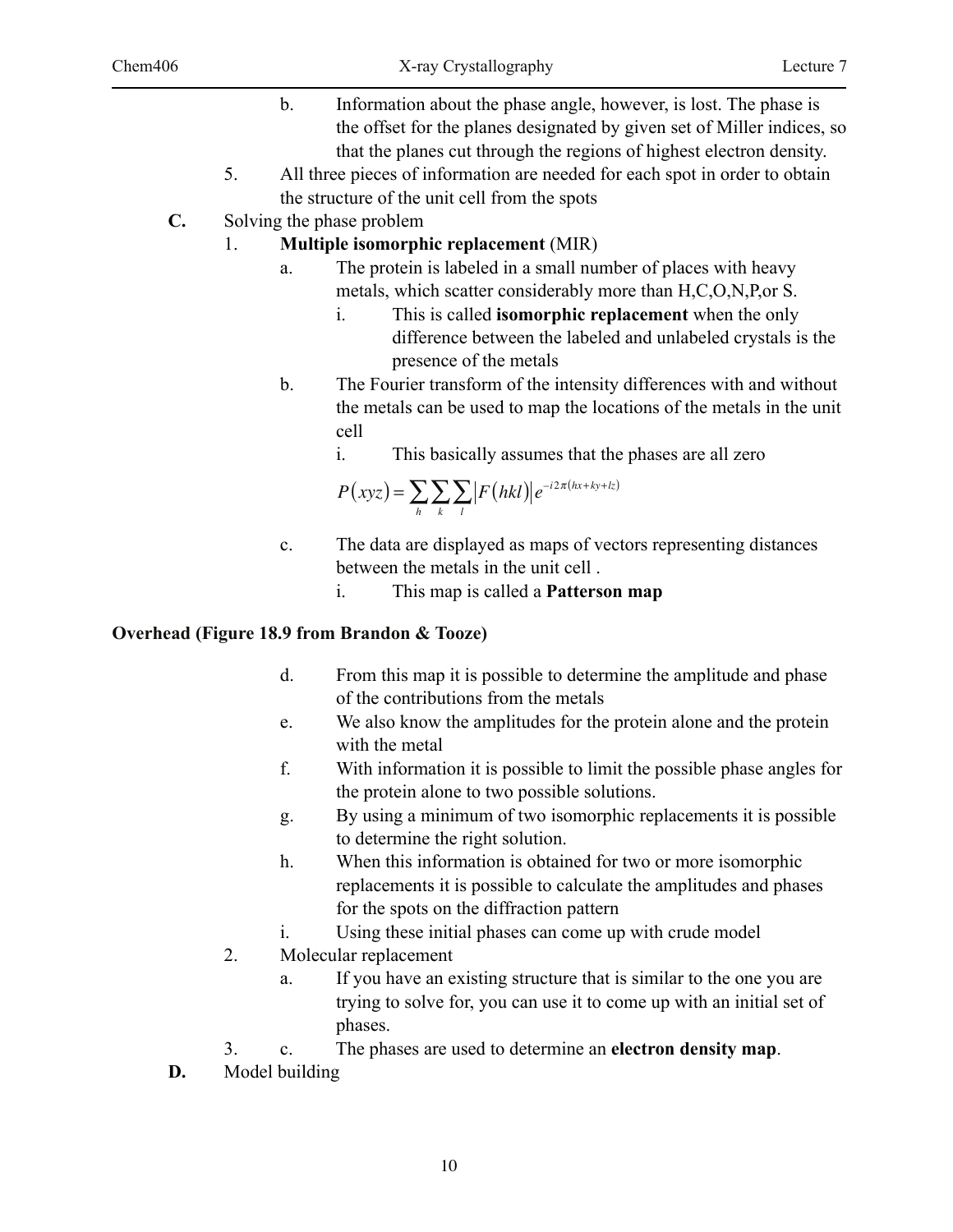- b. Information about the phase angle, however, is lost. The phase is the offset for the planes designated by given set of Miller indices, so that the planes cut through the regions of highest electron density.
- 5. All three pieces of information are needed for each spot in order to obtain the structure of the unit cell from the spots
- **C.** Solving the phase problem

## 1. **Multiple isomorphic replacement** (MIR)

- a. The protein is labeled in a small number of places with heavy metals, which scatter considerably more than H,C,O,N,P,or S.
	- i. This is called **isomorphic replacement** when the only difference between the labeled and unlabeled crystals is the presence of the metals
- b. The Fourier transform of the intensity differences with and without the metals can be used to map the locations of the metals in the unit cell
	- i. This basically assumes that the phases are all zero

$$
P(xyz) = \sum_{h} \sum_{k} \sum_{l} |F(hkl)| e^{-i2\pi(hx + ky + kz)}
$$

c. The data are displayed as maps of vectors representing distances between the metals in the unit cell .

i. This map is called a **Patterson map**

## **Overhead (Figure 18.9 from Brandon & Tooze)**

- d. From this map it is possible to determine the amplitude and phase of the contributions from the metals
- e. We also know the amplitudes for the protein alone and the protein with the metal
- f. With information it is possible to limit the possible phase angles for the protein alone to two possible solutions.
- g. By using a minimum of two isomorphic replacements it is possible to determine the right solution.
- h. When this information is obtained for two or more isomorphic replacements it is possible to calculate the amplitudes and phases for the spots on the diffraction pattern
- i. Using these initial phases can come up with crude model
- 2. Molecular replacement
	- a. If you have an existing structure that is similar to the one you are trying to solve for, you can use it to come up with an initial set of phases.
- 3. c. The phases are used to determine an **electron density map**.
- **D.** Model building